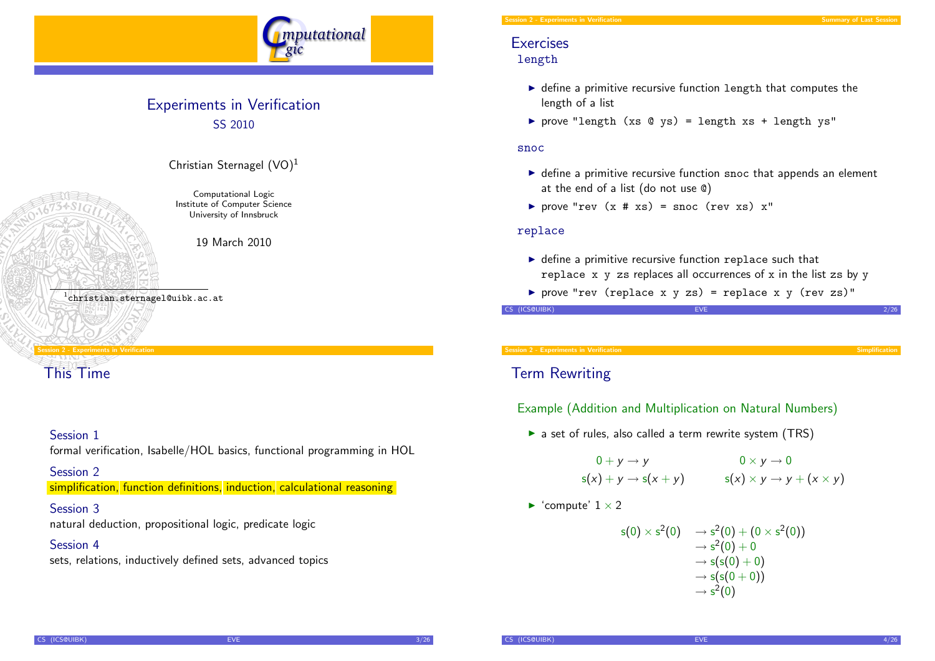

# Experiments in Verification SS 2010



Christian Sternagel  $(VO)^1$ Computational Logic

Institute of Computer Science University of Innsbruck

19 March 2010

1 christian.sternagel@uibk.ac.at

# Session 2 - Experiments in Verification

[This Time](#page-0-0)

### Session 1

formal verification, Isabelle/HOL basics, functional programming in HOL

### Session 2

simplification, function definitions, induction, calculational reasoning

#### Session 3

natural deduction, propositional logic, predicate logic

### Session 4

sets, relations, inductively defined sets, advanced topics

#### Session 2 - Experiments in Verification Summary of Last Session 2 - Summary of Last Session 2 - Summary of Last Sessi

# **Exercises** length

- $\triangleright$  define a primitive recursive function length that computes the length of a list
- P prove "length (xs  $Q$  ys) = length xs + length ys"

#### snoc

- $\triangleright$  define a primitive recursive function snoc that appends an element at the end of a list (do not use @)
- prove "rev  $(x \# xs) = snoc$  (rev xs)  $x''$

#### replace

- $\triangleright$  define a primitive recursive function replace such that replace  $x \, y$  zs replaces all occurrences of  $x$  in the list zs by  $y$
- $\triangleright$  prove "rev (replace x y zs) = replace x y (rev zs)"

CS (ICS@UIBK) 2/26

Session 2 - Experiments in Verification Simplification Simplification Simplification Simplification Simplification

# Term Rewriting

# Example (Addition and Multiplication on Natural Numbers)

 $\triangleright$  a set of rules, also called a term rewrite system (TRS)

$$
0+y \to y
$$
  
s(x) + y \to s(x + y) 
$$
0 \times y \to 0
$$
  
s(x) \times y \to y + (x \times y)

<span id="page-0-0"></span> $\blacktriangleright$  'compute'  $1 \times 2$ 

$$
s(0) \times s^2(0) \longrightarrow s^2(0) + (0 \times s^2(0))
$$
  
\n
$$
\rightarrow s^2(0) + 0
$$
  
\n
$$
\rightarrow s(s(0) + 0)
$$
  
\n
$$
\rightarrow s(s(0+0))
$$
  
\n
$$
\rightarrow s^2(0)
$$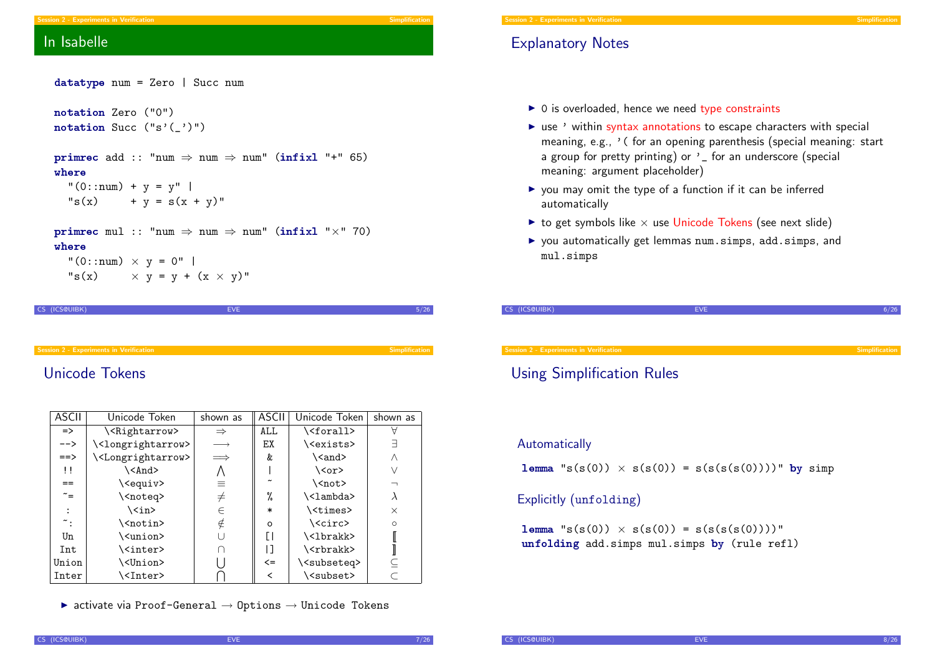#### Session 2 - Experiments in Verification

# Explanatory Notes

- $\triangleright$  0 is overloaded, hence we need type constraints
- $\triangleright$  use ' within syntax annotations to escape characters with special meaning, e.g., ' ( for an opening parenthesis (special meaning: start a group for pretty printing) or ' for an underscore (special meaning: argument placeholder)
- $\triangleright$  you may omit the type of a function if it can be inferred automatically
- $\triangleright$  to get symbols like  $\times$  use Unicode Tokens (see next slide)
- ▶ you automatically get lemmas num.simps, add.simps, and mul.simps

| CS (ICS@UIBK)                                  | <b>EVE</b> |                |
|------------------------------------------------|------------|----------------|
|                                                |            |                |
|                                                |            |                |
| <b>Session 2 - Experiments in Verification</b> |            | Simplification |

# Using Simplification Rules

#### Automatically

**lemma** "s(s(0))  $\times$  s(s(0)) = s(s(s(s(0))))" by simp

# Explicitly (unfolding)

 ${\tt lemma}$  "s(s(0))  $\times$  s(s(0)) = s(s(s(s(0))))" unfolding add.simps mul.simps by (rule refl)

# In Isabelle

| $datatype num = Zero   Succ num$                                                                                                                                           |
|----------------------------------------------------------------------------------------------------------------------------------------------------------------------------|
| notation Zero ("0")<br>notation Succ $("s'(')")$                                                                                                                           |
| <b>primrec</b> add :: "num $\Rightarrow$ num $\Rightarrow$ num" (infixl "+" 65)<br>where<br>" $(0:num) + y = y"$<br>"s(x) + y = s(x + y)"                                  |
| <b>primrec</b> mul :: "num $\Rightarrow$ num $\Rightarrow$ num" (infixl " $\times$ " 70)<br>where<br>"(0::num) $\times$ y = 0"  <br>"s(x) $\times$ y = y + (x $\times$ y)" |

CS (ICS@UIBK) 5/26

# [Unicode Tok](#page-0-0)ens

| <b>ASCII</b>   | Unicode Token                       | shown as          | ASCII  | Unicode Token                | shown as |  |
|----------------|-------------------------------------|-------------------|--------|------------------------------|----------|--|
| $\Rightarrow$  | \ <rightarrow></rightarrow>         | $\Rightarrow$     | ALL    | \ <forall></forall>          |          |  |
| $--&>$         | \ <longrightarrow></longrightarrow> | $\longrightarrow$ | EХ     | \ <exists></exists>          | 크        |  |
| $==$           | \ <longrightarrow></longrightarrow> | $\implies$        | &      | \ <and></and>                | Λ        |  |
| $\mathbf{1}$   | \ <and></and>                       | Λ                 |        | $\langle \text{cor} \rangle$ |          |  |
| $=$            | \ <equiv></equiv>                   | $\equiv$          |        | \ <not></not>                |          |  |
| $\tilde{\ }$ = | \ <noteq></noteq>                   | $\neq$            | %      | \ <lambda></lambda>          | λ        |  |
|                | \ <in></in>                         | $\in$             | $\ast$ | \ <times></times>            | $\times$ |  |
| ∼:             | \ <notin></notin>                   | $\notin$          | O      | \ <circ></circ>              | $\circ$  |  |
| Un             | \ <union></union>                   | υ                 |        | \<1brakk>                    |          |  |
| Int            | \ <inter></inter>                   | ∩                 | ן ו    | \ <rbrakk></rbrakk>          |          |  |
| Union          | \ <union></union>                   |                   | $\leq$ | \ <subseteq></subseteq>      |          |  |
| Inter          | \ <inter></inter>                   |                   | ≺      | \ <subset></subset>          |          |  |

 $\triangleright$  activate via Proof-General  $\rightarrow$  Options  $\rightarrow$  Unicode Tokens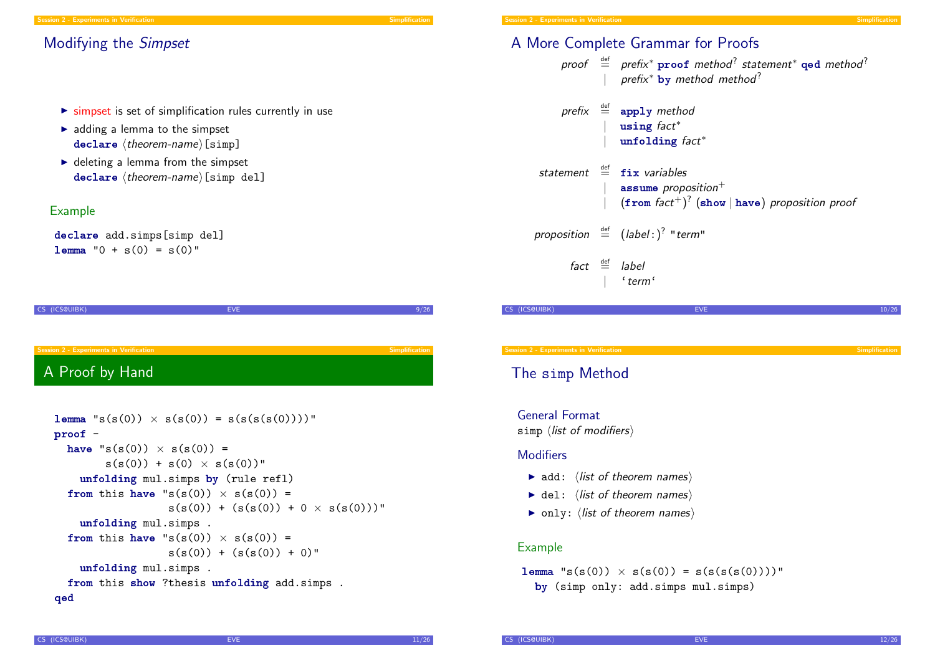# Modifying the Simpset

- $\triangleright$  simpset is set of simplification rules currently in use
- $\blacktriangleright$  adding a lemma to the simpset  $declare \langle theorem-name\rangle$ [simp]
- $\blacktriangleright$  deleting a lemma from the simpset  $declar$ e (theorem-name)[simp del]

### Example

declare add.simps[simp del]  $l$ emma "0 + s(0) = s(0)"

CS (ICS@UIBK) 8/26 Session 2 - Experiments in Verification Simplification Simplification Simplification Simplification Simplification [A Proof by H](#page-0-0)and

```
{\tt lemma} "s(s(0)) \times s(s(0)) = s(s(s(s(0))))"
proof -
  have "s(s(0)) \times s(s(0)) =s(s(0)) + s(0) \times s(s(0))"
    unfolding mul.simps by (rule refl)
  from this have "s(s(0)) \times s(s(0)) =s(s(0)) + (s(s(0)) + 0 \times s(s(0)))"
    unfolding mul.simps .
  from this have "s(s(0)) \times s(s(0)) =s(s(0)) + (s(s(0)) + 0)"
    unfolding mul.simps .
  from this show ?thesis unfolding add.simps .
qed
```

|               | A More Complete Grammar for Proofs                                                                                                      |       |
|---------------|-----------------------------------------------------------------------------------------------------------------------------------------|-------|
|               | proof $\stackrel{\text{def}}{=}$ prefix* proof method? statement* qod method?<br>  prefix* by method method?                            |       |
|               | prefix $\stackrel{\text{def}}{=}$ apply method<br>$\vert$ using fact*<br>  unfolding $fact^*$                                           |       |
|               | statement $\stackrel{\text{def}}{=}$ fix variables<br>  assume proposition+<br>$(\text{from fact}^+)^?$ (show   have) proposition proof |       |
|               | proposition $\stackrel{\text{def}}{=}$ (label:) <sup>?</sup> "term"                                                                     |       |
|               | $fact \stackrel{\text{def}}{=}$ label<br>$\vert$ 'term'                                                                                 |       |
| CS (ICS@UIBK) | <b>EVE</b>                                                                                                                              | 10/26 |
|               |                                                                                                                                         |       |

Session 2 - Experiments in Verification Simplification Simplification Simplification Simplification Simplification

# The simp Method

General Format

simp  $\langle$  list of modifiers $\rangle$ 

### **Modifiers**

- $\blacktriangleright$  add:  $\langle$  list of theorem names $\rangle$
- $\blacktriangleright$  del:  $\langle$  list of theorem names $\rangle$
- $\triangleright$  only:  $\langle$  list of theorem names $\rangle$

#### Example

**lemma** "s(s(0))  $\times$  s(s(0)) = s(s(s(s(0))))" by (simp only: add.simps mul.simps)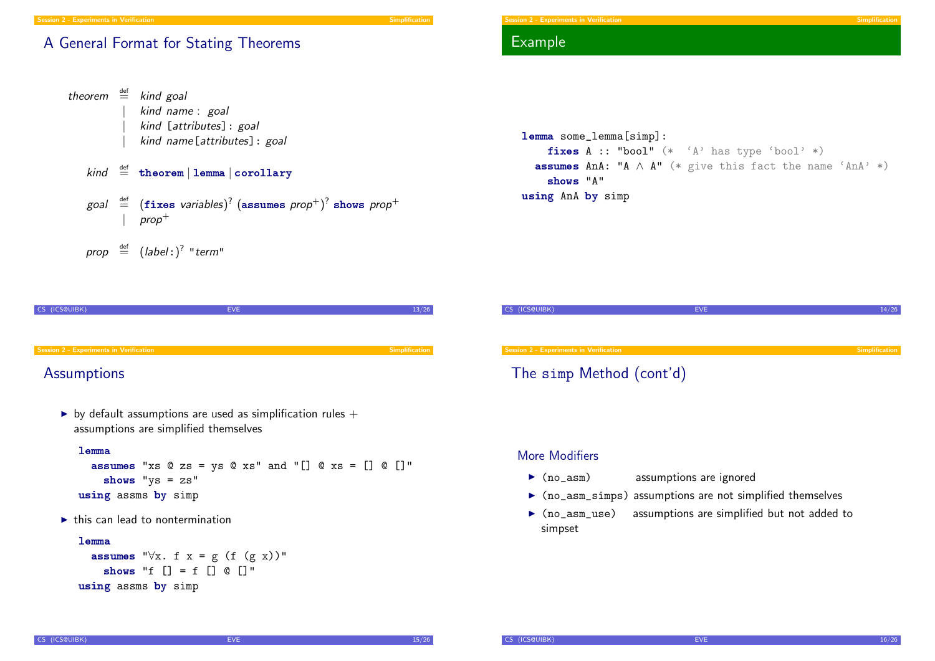# A General Format for Stating Theorems

```
theorem \stackrel{\text{def}}{=} kind goal
                    kind name : goal
                    kind [attributes]: goal
                    kind name[attributes]: goal
     kind \stackrel{\text{def}}{=} theorem | lemma | corollary
      goal \stackrel{\scriptscriptstyle\rm def}{=} (\mathtt{fixes}\text{ variables})^? (\mathtt{assumes}\text{ prop}^+) ^? shows prop^+prop^+prop \stackrel{\text{def}}{=} (label:color"
```

```
CS (ICS@UIBK) EVE 13/26
Session 2 - Experiments in Verification Session 2 - Experiments in Verification Simplification
```
# **[Assumptions](#page-0-0)**

by default assumptions are used as simplification rules  $+$ assumptions are simplified themselves

#### lemma

```
assumes "xs @ zs = ys @ xs" and "[] @ xs = [] @ []"
    shows "ys = zs"
using assms by simp
```
 $\blacktriangleright$  this can lead to nontermination

#### lemma

```
assumes "\forall x. f x = g (f (g x))"
    shows "f [] = f [] @ []"using assms by simp
```
# Example



# CS (ICS@UIBK) 2008 - EVE 2009 14/26 2019 14/26 2019 14/26 2019 14/26 2019 14/26 Session 2 - Experiments in Verification Simplification Simplification Simplification Simplification Simplification The simp Method (cont'd)

#### More Modifiers

- $\triangleright$  (no\_asm) assumptions are ignored
- $\triangleright$  (no\_asm\_simps) assumptions are not simplified themselves
- $\triangleright$  (no\_asm\_use) assumptions are simplified but not added to simpset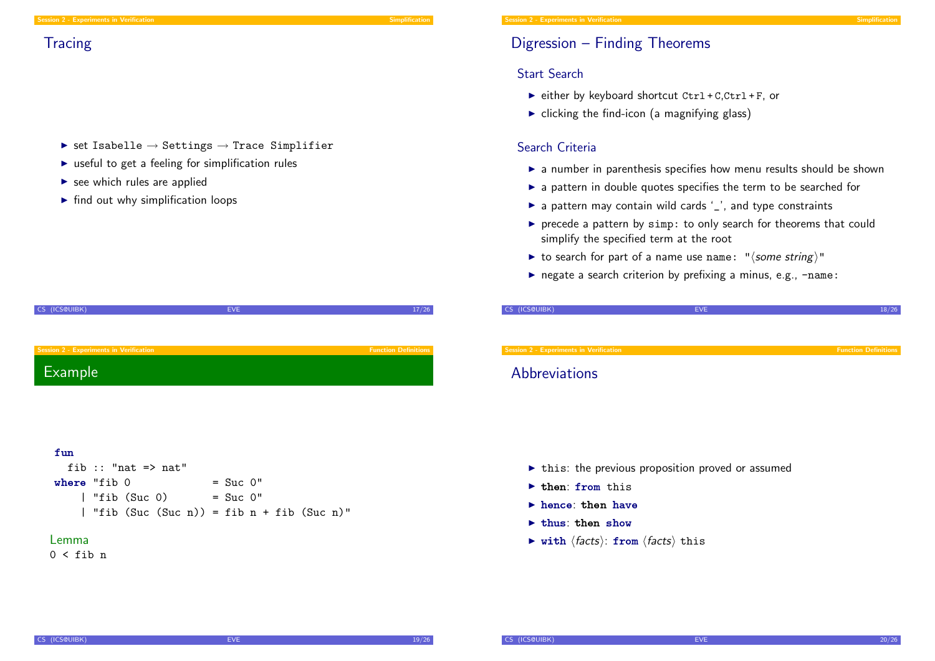- $\triangleright$  set Isabelle  $\rightarrow$  Settings  $\rightarrow$  Trace Simplifier
- $\triangleright$  useful to get a feeling for simplification rules
- $\blacktriangleright$  see which rules are applied
- $\blacktriangleright$  find out why simplification loops

| CS (ICS@UIBK)                           | <b>EVE</b> | 17/26                       |
|-----------------------------------------|------------|-----------------------------|
|                                         |            |                             |
|                                         |            |                             |
|                                         |            |                             |
|                                         |            |                             |
| Session 2 - Experiments in Verification |            | <b>Function Definitions</b> |
|                                         |            |                             |
| Example                                 |            |                             |
|                                         |            |                             |

#### fun

| fib :: "nat $\Rightarrow$ nat"             |              |  |
|--------------------------------------------|--------------|--|
| where "fib $0$                             | $=$ Suc $0"$ |  |
| $\vert$ "fib (Suc 0)                       | $=$ Suc $0"$ |  |
| "fib $(Suc(Suc n)) = fib n + fib(Suc n)$ " |              |  |

#### Lemma

 $0 < f$ ih n

# Digression – Finding Theorems

## Start Search

- $\triangleright$  either by keyboard shortcut Ctrl + C,Ctrl + F, or
- $\triangleright$  clicking the find-icon (a magnifying glass)

# Search Criteria

- $\triangleright$  a number in parenthesis specifies how menu results should be shown
- $\triangleright$  a pattern in double quotes specifies the term to be searched for
- $\triangleright$  a pattern may contain wild cards '\_', and type constraints
- $\triangleright$  precede a pattern by simp: to only search for theorems that could simplify the specified term at the root
- ightharpoonup to search for part of a name use name: " $\langle$  some string)"
- $\triangleright$  negate a search criterion by prefixing a minus, e.g., -name:

| CS (ICS@UIBK)                           | <b>EVE</b> | 18/26                       |
|-----------------------------------------|------------|-----------------------------|
|                                         |            |                             |
|                                         |            |                             |
|                                         |            |                             |
| Session 2 - Experiments in Verification |            | <b>Function Definitions</b> |

# **Abbreviations**

- $\triangleright$  this: the previous proposition proved or assumed
- $\blacktriangleright$  then: from this
- $\blacktriangleright$  hence: then have
- $\blacktriangleright$  thus: then show
- $\triangleright$  with  $\langle facts \rangle$ : from  $\langle facts \rangle$  this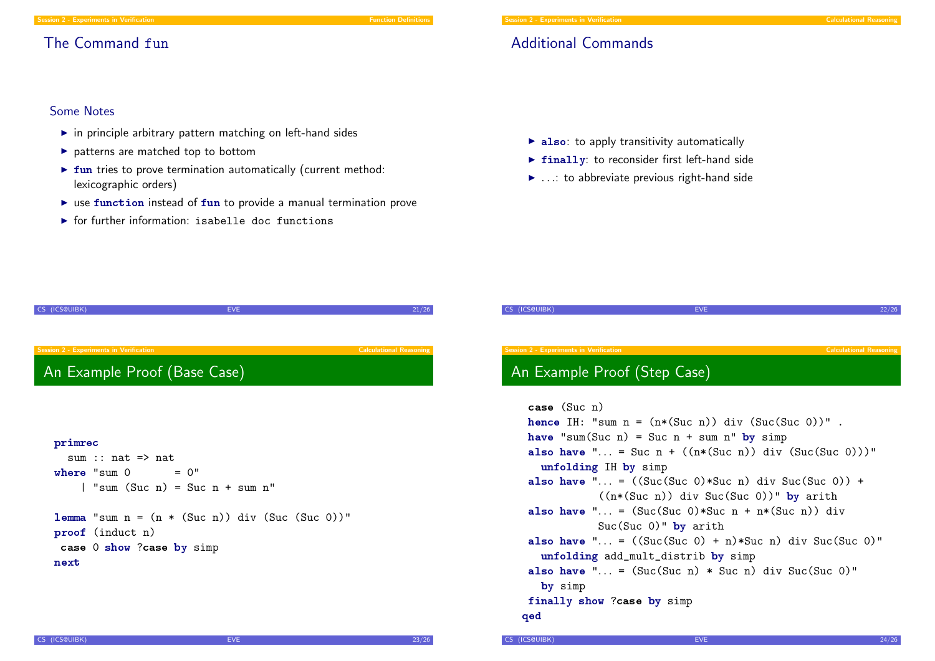#### Session 2 - Experiments in Verification Function Function Definitions of the Contract of Definitions of Definitions of Definitions of Definitions of Definitions of Definitions of Definitions of Definitions of Definitions o

# The Command fun

#### Session 2 - Experiments in Verification Calculational Reasoning

# Additional Commands

### Some Notes

- $\blacktriangleright$  in principle arbitrary pattern matching on left-hand sides
- $\blacktriangleright$  patterns are matched top to bottom
- $\triangleright$  fun tries to prove termination automatically (current method: lexicographic orders)
- $\triangleright$  use function instead of fun to provide a manual termination prove
- $\triangleright$  for further information: isabelle doc functions
- $\triangleright$  also: to apply transitivity automatically
- $\triangleright$  finally: to reconsider first left-hand side
- $\blacktriangleright$  ...: to abbreviate previous right-hand side

| CS (ICS@UIBK)                                                                                                                                                     | EVE.<br>21/26                                               | CS (ICS@UIBK)                                                                                                                                                                                                                                                                                                                                                                                                                                                                       | 22/26<br><b>EVE</b>                                                                                                                                                                                |
|-------------------------------------------------------------------------------------------------------------------------------------------------------------------|-------------------------------------------------------------|-------------------------------------------------------------------------------------------------------------------------------------------------------------------------------------------------------------------------------------------------------------------------------------------------------------------------------------------------------------------------------------------------------------------------------------------------------------------------------------|----------------------------------------------------------------------------------------------------------------------------------------------------------------------------------------------------|
| <b>Session 2 - Experiments in Verification</b><br>An Example Proof (Base Case)                                                                                    | <b>Calculational Reasoning</b>                              | Session 2 - Experiments in Verification<br>An Example Proof (Step Case)                                                                                                                                                                                                                                                                                                                                                                                                             | <b>Calculational Reasoning</b>                                                                                                                                                                     |
| primrec<br>sum :: $nat \Rightarrow nat$<br>where "sum $0 = 0$ "<br>$\vert$ "sum (Suc n) = Suc n + sum n"<br>proof (induct n)<br>case 0 show ?case by simp<br>next | <b>lemma</b> "sum $n = (n * (Suc n))$ div $(Suc (Suc 0))$ " | case (Suc n)<br>hence IH: "sum $n = (n*(\text{Suc } n))$ div $(\text{Suc } (\text{Suc } 0))$ ".<br>have "sum(Suc n) = Suc n + sum n" by simp<br>unfolding IH by simp<br>also have " = $((\text{Suc(Suc 0)*Suc n}) \text{ div } \text{Suc(Suc 0)})$ +<br>also have " = $(Suc(Suc 0)*Suc n + n*(Suc n)) div$<br>$Suc(Suc 0)$ " by arith<br>unfolding add_mult_distrib by simp<br>also have " = $(Suc(Suc n) * Suc n)$ div Suc(Suc 0)"<br>by simp<br>finally show ?case by simp<br>qed | also have " = Suc $n + ((n*(Suc n)) div (Suc (Suc 0))))$ "<br>$((n*(\text{Suc } n))$ div Suc(Suc 0))" by arith<br>also have " = $((\text{Suc } 0) + n)*\text{Suc } n)$ div Suc $(\text{Suc } 0)$ " |

```
CS (ICS@UIBK) 24/26
```